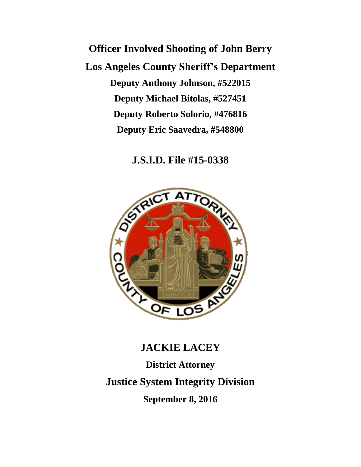**Officer Involved Shooting of John Berry Los Angeles County Sheriff's Department Deputy Anthony Johnson, #522015 Deputy Michael Bitolas, #527451 Deputy Roberto Solorio, #476816 Deputy Eric Saavedra, #548800**

**J.S.I.D. File #15-0338**



# **JACKIE LACEY District Attorney Justice System Integrity Division September 8, 2016**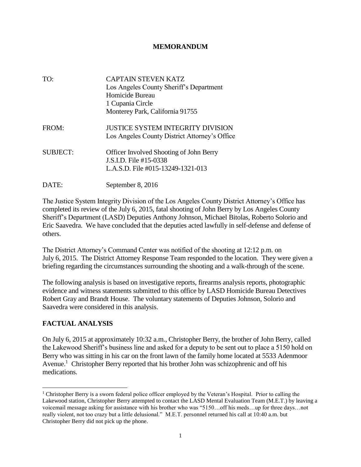#### **MEMORANDUM**

| TO:             | <b>CAPTAIN STEVEN KATZ</b><br>Los Angeles County Sheriff's Department<br>Homicide Bureau<br>1 Cupania Circle<br>Monterey Park, California 91755 |
|-----------------|-------------------------------------------------------------------------------------------------------------------------------------------------|
| FROM:           | <b>JUSTICE SYSTEM INTEGRITY DIVISION</b><br>Los Angeles County District Attorney's Office                                                       |
| <b>SUBJECT:</b> | <b>Officer Involved Shooting of John Berry</b><br>J.S.I.D. File #15-0338<br>L.A.S.D. File #015-13249-1321-013                                   |
| DATE:           | September 8, 2016                                                                                                                               |

The Justice System Integrity Division of the Los Angeles County District Attorney's Office has completed its review of the July 6, 2015, fatal shooting of John Berry by Los Angeles County Sheriff's Department (LASD) Deputies Anthony Johnson, Michael Bitolas, Roberto Solorio and Eric Saavedra. We have concluded that the deputies acted lawfully in self-defense and defense of others.

The District Attorney's Command Center was notified of the shooting at 12:12 p.m. on July 6, 2015. The District Attorney Response Team responded to the location. They were given a briefing regarding the circumstances surrounding the shooting and a walk-through of the scene.

The following analysis is based on investigative reports, firearms analysis reports, photographic evidence and witness statements submitted to this office by LASD Homicide Bureau Detectives Robert Gray and Brandt House. The voluntary statements of Deputies Johnson, Solorio and Saavedra were considered in this analysis.

## **FACTUAL ANALYSIS**

 $\overline{a}$ 

On July 6, 2015 at approximately 10:32 a.m., Christopher Berry, the brother of John Berry, called the Lakewood Sheriff's business line and asked for a deputy to be sent out to place a 5150 hold on Berry who was sitting in his car on the front lawn of the family home located at 5533 Adenmoor Avenue. 1 Christopher Berry reported that his brother John was schizophrenic and off his medications.

<sup>&</sup>lt;sup>1</sup> Christopher Berry is a sworn federal police officer employed by the Veteran's Hospital. Prior to calling the Lakewood station, Christopher Berry attempted to contact the LASD Mental Evaluation Team (M.E.T.) by leaving a voicemail message asking for assistance with his brother who was "5150…off his meds…up for three days…not really violent, not too crazy but a little delusional." M.E.T. personnel returned his call at 10:40 a.m. but Christopher Berry did not pick up the phone.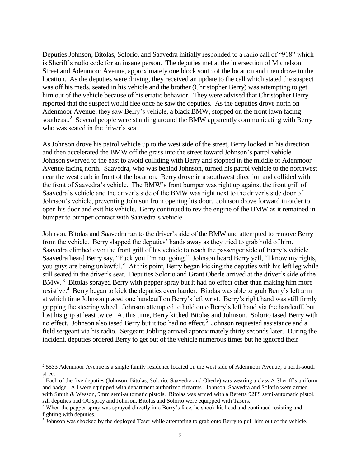Deputies Johnson, Bitolas, Solorio, and Saavedra initially responded to a radio call of "918" which is Sheriff's radio code for an insane person. The deputies met at the intersection of Michelson Street and Adenmoor Avenue, approximately one block south of the location and then drove to the location. As the deputies were driving, they received an update to the call which stated the suspect was off his meds, seated in his vehicle and the brother (Christopher Berry) was attempting to get him out of the vehicle because of his erratic behavior. They were advised that Christopher Berry reported that the suspect would flee once he saw the deputies. As the deputies drove north on Adenmoor Avenue, they saw Berry's vehicle, a black BMW, stopped on the front lawn facing southeast.<sup>2</sup> Several people were standing around the BMW apparently communicating with Berry who was seated in the driver's seat.

As Johnson drove his patrol vehicle up to the west side of the street, Berry looked in his direction and then accelerated the BMW off the grass into the street toward Johnson's patrol vehicle. Johnson swerved to the east to avoid colliding with Berry and stopped in the middle of Adenmoor Avenue facing north. Saavedra, who was behind Johnson, turned his patrol vehicle to the northwest near the west curb in front of the location. Berry drove in a southwest direction and collided with the front of Saavedra's vehicle. The BMW's front bumper was right up against the front grill of Saavedra's vehicle and the driver's side of the BMW was right next to the driver's side door of Johnson's vehicle, preventing Johnson from opening his door. Johnson drove forward in order to open his door and exit his vehicle. Berry continued to rev the engine of the BMW as it remained in bumper to bumper contact with Saavedra's vehicle.

Johnson, Bitolas and Saavedra ran to the driver's side of the BMW and attempted to remove Berry from the vehicle. Berry slapped the deputies' hands away as they tried to grab hold of him. Saavedra climbed over the front grill of his vehicle to reach the passenger side of Berry's vehicle. Saavedra heard Berry say, "Fuck you I'm not going." Johnson heard Berry yell, "I know my rights, you guys are being unlawful." At this point, Berry began kicking the deputies with his left leg while still seated in the driver's seat. Deputies Solorio and Grant Oberle arrived at the driver's side of the BMW.<sup>3</sup> Bitolas sprayed Berry with pepper spray but it had no effect other than making him more resistive.<sup>4</sup> Berry began to kick the deputies even harder. Bitolas was able to grab Berry's left arm at which time Johnson placed one handcuff on Berry's left wrist. Berry's right hand was still firmly gripping the steering wheel. Johnson attempted to hold onto Berry's left hand via the handcuff, but lost his grip at least twice. At this time, Berry kicked Bitolas and Johnson. Solorio tased Berry with no effect. Johnson also tased Berry but it too had no effect.<sup>5</sup> Johnson requested assistance and a field sergeant via his radio. Sergeant Jobling arrived approximately thirty seconds later. During the incident, deputies ordered Berry to get out of the vehicle numerous times but he ignored their

l

<sup>&</sup>lt;sup>2</sup> 5533 Adenmoor Avenue is a single family residence located on the west side of Adenmoor Avenue, a north-south street.

<sup>&</sup>lt;sup>3</sup> Each of the five deputies (Johnson, Bitolas, Solorio, Saavedra and Oberle) was wearing a class A Sheriff's uniform and badge. All were equipped with department authorized firearms. Johnson, Saavedra and Solorio were armed with Smith & Wesson, 9mm semi-automatic pistols. Bitolas was armed with a Beretta 92FS semi-automatic pistol. All deputies had OC spray and Johnson, Bitolas and Solorio were equipped with Tasers.

<sup>4</sup> When the pepper spray was sprayed directly into Berry's face, he shook his head and continued resisting and fighting with deputies.

<sup>&</sup>lt;sup>5</sup> Johnson was shocked by the deployed Taser while attempting to grab onto Berry to pull him out of the vehicle.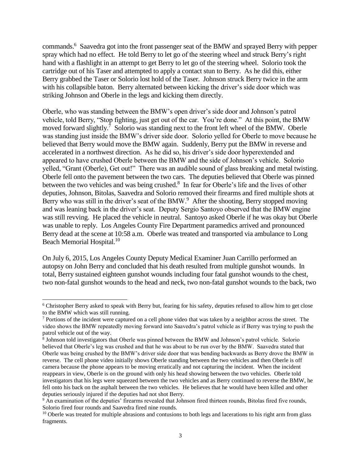commands.<sup>6</sup> Saavedra got into the front passenger seat of the BMW and sprayed Berry with pepper spray which had no effect. He told Berry to let go of the steering wheel and struck Berry's right hand with a flashlight in an attempt to get Berry to let go of the steering wheel. Solorio took the cartridge out of his Taser and attempted to apply a contact stun to Berry. As he did this, either Berry grabbed the Taser or Solorio lost hold of the Taser. Johnson struck Berry twice in the arm with his collapsible baton. Berry alternated between kicking the driver's side door which was striking Johnson and Oberle in the legs and kicking them directly.

Oberle, who was standing between the BMW's open driver's side door and Johnson's patrol vehicle, told Berry, "Stop fighting, just get out of the car. You're done." At this point, the BMW moved forward slightly.<sup>7</sup> Solorio was standing next to the front left wheel of the BMW. Oberle was standing just inside the BMW's driver side door. Solorio yelled for Oberle to move because he believed that Berry would move the BMW again. Suddenly, Berry put the BMW in reverse and accelerated in a northwest direction. As he did so, his driver's side door hyperextended and appeared to have crushed Oberle between the BMW and the side of Johnson's vehicle. Solorio yelled, "Grant (Oberle), Get out!" There was an audible sound of glass breaking and metal twisting. Oberle fell onto the pavement between the two cars. The deputies believed that Oberle was pinned between the two vehicles and was being crushed.<sup>8</sup> In fear for Oberle's life and the lives of other deputies, Johnson, Bitolas, Saavedra and Solorio removed their firearms and fired multiple shots at Berry who was still in the driver's seat of the BMW.<sup>9</sup> After the shooting, Berry stopped moving and was leaning back in the driver's seat. Deputy Sergio Santoyo observed that the BMW engine was still revving. He placed the vehicle in neutral. Santoyo asked Oberle if he was okay but Oberle was unable to reply. Los Angeles County Fire Department paramedics arrived and pronounced Berry dead at the scene at 10:58 a.m. Oberle was treated and transported via ambulance to Long Beach Memorial Hospital.<sup>10</sup>

On July 6, 2015, Los Angeles County Deputy Medical Examiner Juan Carrillo performed an autopsy on John Berry and concluded that his death resulted from multiple gunshot wounds. In total, Berry sustained eighteen gunshot wounds including four fatal gunshot wounds to the chest, two non-fatal gunshot wounds to the head and neck, two non-fatal gunshot wounds to the back, two

 $\overline{a}$ 

<sup>6</sup> Christopher Berry asked to speak with Berry but, fearing for his safety, deputies refused to allow him to get close to the BMW which was still running.

<sup>7</sup> Portions of the incident were captured on a cell phone video that was taken by a neighbor across the street. The video shows the BMW repeatedly moving forward into Saavedra's patrol vehicle as if Berry was trying to push the patrol vehicle out of the way.

<sup>8</sup> Johnson told investigators that Oberle was pinned between the BMW and Johnson's patrol vehicle. Solorio believed that Oberle's leg was crushed and that he was about to be run over by the BMW. Saavedra stated that Oberle was being crushed by the BMW's driver side door that was bending backwards as Berry drove the BMW in reverse. The cell phone video initially shows Oberle standing between the two vehicles and then Oberle is off camera because the phone appears to be moving erratically and not capturing the incident. When the incident reappears in view, Oberle is on the ground with only his head showing between the two vehicles. Oberle told investigators that his legs were squeezed between the two vehicles and as Berry continued to reverse the BMW, he fell onto his back on the asphalt between the two vehicles. He believes that he would have been killed and other deputies seriously injured if the deputies had not shot Berry.

<sup>&</sup>lt;sup>9</sup> An examination of the deputies' firearms revealed that Johnson fired thirteen rounds, Bitolas fired five rounds, Solorio fired four rounds and Saavedra fired nine rounds.

 $10$  Oberle was treated for multiple abrasions and contusions to both legs and lacerations to his right arm from glass fragments.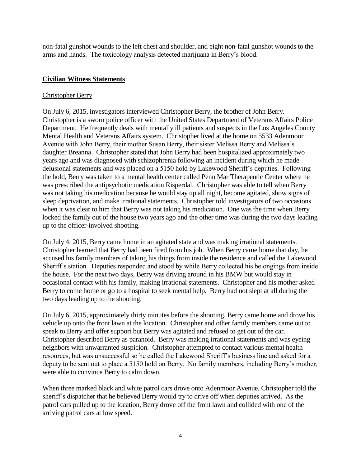non-fatal gunshot wounds to the left chest and shoulder, and eight non-fatal gunshot wounds to the arms and hands. The toxicology analysis detected marijuana in Berry's blood.

## **Civilian Witness Statements**

## Christopher Berry

On July 6, 2015, investigators interviewed Christopher Berry, the brother of John Berry. Christopher is a sworn police officer with the United States Department of Veterans Affairs Police Department. He frequently deals with mentally ill patients and suspects in the Los Angeles County Mental Health and Veterans Affairs system. Christopher lived at the home on 5533 Adenmoor Avenue with John Berry, their mother Susan Berry, their sister Melissa Berry and Melissa's daughter Breanna. Christopher stated that John Berry had been hospitalized approximately two years ago and was diagnosed with schizophrenia following an incident during which he made delusional statements and was placed on a 5150 hold by Lakewood Sheriff's deputies. Following the hold, Berry was taken to a mental health center called Penn Mar Therapeutic Center where he was prescribed the antipsychotic medication Risperdal. Christopher was able to tell when Berry was not taking his medication because he would stay up all night, become agitated, show signs of sleep deprivation, and make irrational statements. Christopher told investigators of two occasions when it was clear to him that Berry was not taking his medication. One was the time when Berry locked the family out of the house two years ago and the other time was during the two days leading up to the officer-involved shooting.

On July 4, 2015, Berry came home in an agitated state and was making irrational statements. Christopher learned that Berry had been fired from his job. When Berry came home that day, he accused his family members of taking his things from inside the residence and called the Lakewood Sheriff's station. Deputies responded and stood by while Berry collected his belongings from inside the house. For the next two days, Berry was driving around in his BMW but would stay in occasional contact with his family, making irrational statements. Christopher and his mother asked Berry to come home or go to a hospital to seek mental help. Berry had not slept at all during the two days leading up to the shooting.

On July 6, 2015, approximately thirty minutes before the shooting, Berry came home and drove his vehicle up onto the front lawn at the location. Christopher and other family members came out to speak to Berry and offer support but Berry was agitated and refused to get out of the car. Christopher described Berry as paranoid. Berry was making irrational statements and was eyeing neighbors with unwarranted suspicion. Christopher attempted to contact various mental health resources, but was unsuccessful so he called the Lakewood Sheriff's business line and asked for a deputy to be sent out to place a 5150 hold on Berry. No family members, including Berry's mother, were able to convince Berry to calm down.

When three marked black and white patrol cars drove onto Adenmoor Avenue, Christopher told the sheriff's dispatcher that he believed Berry would try to drive off when deputies arrived. As the patrol cars pulled up to the location, Berry drove off the front lawn and collided with one of the arriving patrol cars at low speed.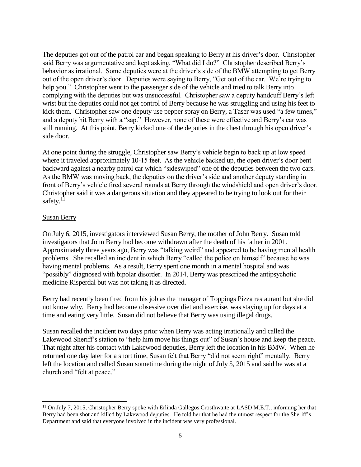The deputies got out of the patrol car and began speaking to Berry at his driver's door. Christopher said Berry was argumentative and kept asking, "What did I do?" Christopher described Berry's behavior as irrational. Some deputies were at the driver's side of the BMW attempting to get Berry out of the open driver's door. Deputies were saying to Berry, "Get out of the car. We're trying to help you." Christopher went to the passenger side of the vehicle and tried to talk Berry into complying with the deputies but was unsuccessful. Christopher saw a deputy handcuff Berry's left wrist but the deputies could not get control of Berry because he was struggling and using his feet to kick them. Christopher saw one deputy use pepper spray on Berry, a Taser was used "a few times," and a deputy hit Berry with a "sap." However, none of these were effective and Berry's car was still running. At this point, Berry kicked one of the deputies in the chest through his open driver's side door.

At one point during the struggle, Christopher saw Berry's vehicle begin to back up at low speed where it traveled approximately 10-15 feet. As the vehicle backed up, the open driver's door bent backward against a nearby patrol car which "sideswiped" one of the deputies between the two cars. As the BMW was moving back, the deputies on the driver's side and another deputy standing in front of Berry's vehicle fired several rounds at Berry through the windshield and open driver's door. Christopher said it was a dangerous situation and they appeared to be trying to look out for their safety.<sup>11</sup>

## Susan Berry

l

On July 6, 2015, investigators interviewed Susan Berry, the mother of John Berry. Susan told investigators that John Berry had become withdrawn after the death of his father in 2001. Approximately three years ago, Berry was "talking weird" and appeared to be having mental health problems. She recalled an incident in which Berry "called the police on himself" because he was having mental problems. As a result, Berry spent one month in a mental hospital and was "possibly" diagnosed with bipolar disorder. In 2014, Berry was prescribed the antipsychotic medicine Risperdal but was not taking it as directed.

Berry had recently been fired from his job as the manager of Toppings Pizza restaurant but she did not know why. Berry had become obsessive over diet and exercise, was staying up for days at a time and eating very little. Susan did not believe that Berry was using illegal drugs.

Susan recalled the incident two days prior when Berry was acting irrationally and called the Lakewood Sheriff's station to "help him move his things out" of Susan's house and keep the peace. That night after his contact with Lakewood deputies, Berry left the location in his BMW. When he returned one day later for a short time, Susan felt that Berry "did not seem right" mentally. Berry left the location and called Susan sometime during the night of July 5, 2015 and said he was at a church and "felt at peace."

<sup>&</sup>lt;sup>11</sup> On July 7, 2015, Christopher Berry spoke with Erlinda Gallegos Crosthwaite at LASD M.E.T., informing her that Berry had been shot and killed by Lakewood deputies. He told her that he had the utmost respect for the Sheriff's Department and said that everyone involved in the incident was very professional.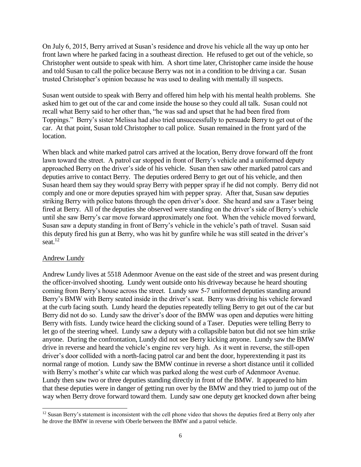On July 6, 2015, Berry arrived at Susan's residence and drove his vehicle all the way up onto her front lawn where he parked facing in a southeast direction. He refused to get out of the vehicle, so Christopher went outside to speak with him. A short time later, Christopher came inside the house and told Susan to call the police because Berry was not in a condition to be driving a car. Susan trusted Christopher's opinion because he was used to dealing with mentally ill suspects.

Susan went outside to speak with Berry and offered him help with his mental health problems. She asked him to get out of the car and come inside the house so they could all talk. Susan could not recall what Berry said to her other than, "he was sad and upset that he had been fired from Toppings." Berry's sister Melissa had also tried unsuccessfully to persuade Berry to get out of the car. At that point, Susan told Christopher to call police. Susan remained in the front yard of the location.

When black and white marked patrol cars arrived at the location, Berry drove forward off the front lawn toward the street. A patrol car stopped in front of Berry's vehicle and a uniformed deputy approached Berry on the driver's side of his vehicle. Susan then saw other marked patrol cars and deputies arrive to contact Berry. The deputies ordered Berry to get out of his vehicle, and then Susan heard them say they would spray Berry with pepper spray if he did not comply. Berry did not comply and one or more deputies sprayed him with pepper spray. After that, Susan saw deputies striking Berry with police batons through the open driver's door. She heard and saw a Taser being fired at Berry. All of the deputies she observed were standing on the driver's side of Berry's vehicle until she saw Berry's car move forward approximately one foot. When the vehicle moved forward, Susan saw a deputy standing in front of Berry's vehicle in the vehicle's path of travel. Susan said this deputy fired his gun at Berry, who was hit by gunfire while he was still seated in the driver's seat. $12$ 

## Andrew Lundy

Andrew Lundy lives at 5518 Adenmoor Avenue on the east side of the street and was present during the officer-involved shooting. Lundy went outside onto his driveway because he heard shouting coming from Berry's house across the street. Lundy saw 5-7 uniformed deputies standing around Berry's BMW with Berry seated inside in the driver's seat. Berry was driving his vehicle forward at the curb facing south. Lundy heard the deputies repeatedly telling Berry to get out of the car but Berry did not do so. Lundy saw the driver's door of the BMW was open and deputies were hitting Berry with fists. Lundy twice heard the clicking sound of a Taser. Deputies were telling Berry to let go of the steering wheel. Lundy saw a deputy with a collapsible baton but did not see him strike anyone. During the confrontation, Lundy did not see Berry kicking anyone. Lundy saw the BMW drive in reverse and heard the vehicle's engine rev very high. As it went in reverse, the still-open driver's door collided with a north-facing patrol car and bent the door, hyperextending it past its normal range of motion. Lundy saw the BMW continue in reverse a short distance until it collided with Berry's mother's white car which was parked along the west curb of Adenmoor Avenue. Lundy then saw two or three deputies standing directly in front of the BMW. It appeared to him that these deputies were in danger of getting run over by the BMW and they tried to jump out of the way when Berry drove forward toward them. Lundy saw one deputy get knocked down after being

 $\overline{a}$  $12$  Susan Berry's statement is inconsistent with the cell phone video that shows the deputies fired at Berry only after he drove the BMW in reverse with Oberle between the BMW and a patrol vehicle.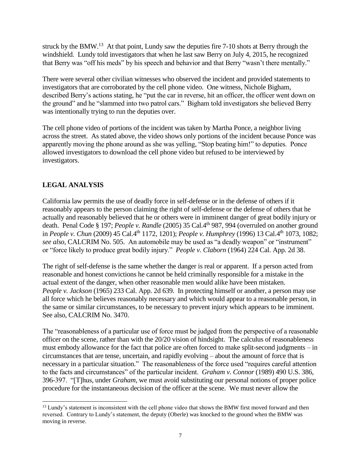struck by the BMW.<sup>13</sup> At that point, Lundy saw the deputies fire  $7-10$  shots at Berry through the windshield. Lundy told investigators that when he last saw Berry on July 4, 2015, he recognized that Berry was "off his meds" by his speech and behavior and that Berry "wasn't there mentally."

There were several other civilian witnesses who observed the incident and provided statements to investigators that are corroborated by the cell phone video. One witness, Nichole Bigham, described Berry's actions stating, he "put the car in reverse, hit an officer, the officer went down on the ground" and he "slammed into two patrol cars." Bigham told investigators she believed Berry was intentionally trying to run the deputies over.

The cell phone video of portions of the incident was taken by Martha Ponce, a neighbor living across the street. As stated above, the video shows only portions of the incident because Ponce was apparently moving the phone around as she was yelling, "Stop beating him!" to deputies. Ponce allowed investigators to download the cell phone video but refused to be interviewed by investigators.

# **LEGAL ANALYSIS**

California law permits the use of deadly force in self-defense or in the defense of others if it reasonably appears to the person claiming the right of self-defense or the defense of others that he actually and reasonably believed that he or others were in imminent danger of great bodily injury or death. Penal Code § 197; *People v. Randle* (2005) 35 Cal.4th 987, 994 (overruled on another ground in *People v. Chun* (2009) 45 Cal.4<sup>th</sup> 1172, 1201); *People v. Humphrey* (1996) 13 Cal.4<sup>th</sup> 1073, 1082; *see also,* CALCRIM No. 505. An automobile may be used as "a deadly weapon" or "instrument" or "force likely to produce great bodily injury." *People v. Claborn* (1964) 224 Cal. App. 2d 38.

The right of self-defense is the same whether the danger is real or apparent. If a person acted from reasonable and honest convictions he cannot be held criminally responsible for a mistake in the actual extent of the danger, when other reasonable men would alike have been mistaken. *People v. Jackson* (1965) 233 Cal. App. 2d 639. In protecting himself or another, a person may use all force which he believes reasonably necessary and which would appear to a reasonable person, in the same or similar circumstances, to be necessary to prevent injury which appears to be imminent. See also, CALCRIM No. 3470.

The "reasonableness of a particular use of force must be judged from the perspective of a reasonable officer on the scene, rather than with the 20/20 vision of hindsight. The calculus of reasonableness must embody allowance for the fact that police are often forced to make split-second judgments – in circumstances that are tense, uncertain, and rapidly evolving – about the amount of force that is necessary in a particular situation." The reasonableness of the force used "requires careful attention to the facts and circumstances" of the particular incident. *Graham v. Connor* (1989) 490 U.S. 386, 396-397. "[T]hus, under *Graham*, we must avoid substituting our personal notions of proper police procedure for the instantaneous decision of the officer at the scene. We must never allow the

l <sup>13</sup> Lundy's statement is inconsistent with the cell phone video that shows the BMW first moved forward and then reversed. Contrary to Lundy's statement, the deputy (Oberle) was knocked to the ground when the BMW was moving in reverse.